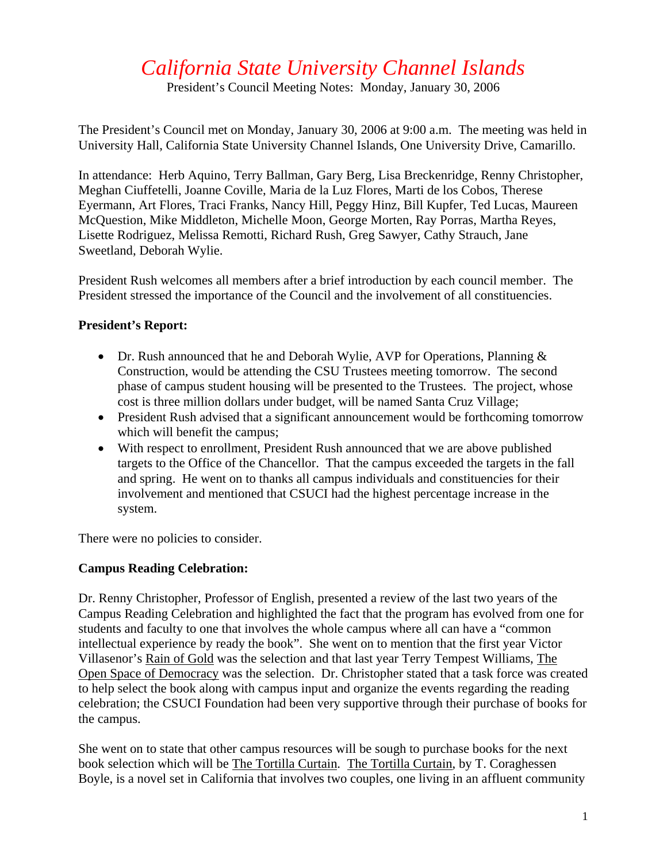## *California State University Channel Islands*

President's Council Meeting Notes: Monday, January 30, 2006

The President's Council met on Monday, January 30, 2006 at 9:00 a.m. The meeting was held in University Hall, California State University Channel Islands, One University Drive, Camarillo.

In attendance: Herb Aquino, Terry Ballman, Gary Berg, Lisa Breckenridge, Renny Christopher, Meghan Ciuffetelli, Joanne Coville, Maria de la Luz Flores, Marti de los Cobos, Therese Eyermann, Art Flores, Traci Franks, Nancy Hill, Peggy Hinz, Bill Kupfer, Ted Lucas, Maureen McQuestion, Mike Middleton, Michelle Moon, George Morten, Ray Porras, Martha Reyes, Lisette Rodriguez, Melissa Remotti, Richard Rush, Greg Sawyer, Cathy Strauch, Jane Sweetland, Deborah Wylie.

President Rush welcomes all members after a brief introduction by each council member. The President stressed the importance of the Council and the involvement of all constituencies.

## **President's Report:**

- Dr. Rush announced that he and Deborah Wylie, AVP for Operations, Planning  $\&$ Construction, would be attending the CSU Trustees meeting tomorrow. The second phase of campus student housing will be presented to the Trustees. The project, whose cost is three million dollars under budget, will be named Santa Cruz Village;
- President Rush advised that a significant announcement would be forthcoming tomorrow which will benefit the campus;
- With respect to enrollment, President Rush announced that we are above published targets to the Office of the Chancellor. That the campus exceeded the targets in the fall and spring. He went on to thanks all campus individuals and constituencies for their involvement and mentioned that CSUCI had the highest percentage increase in the system.

There were no policies to consider.

## **Campus Reading Celebration:**

Dr. Renny Christopher, Professor of English, presented a review of the last two years of the Campus Reading Celebration and highlighted the fact that the program has evolved from one for students and faculty to one that involves the whole campus where all can have a "common intellectual experience by ready the book". She went on to mention that the first year Victor Villasenor's Rain of Gold was the selection and that last year Terry Tempest Williams, The Open Space of Democracy was the selection. Dr. Christopher stated that a task force was created to help select the book along with campus input and organize the events regarding the reading celebration; the CSUCI Foundation had been very supportive through their purchase of books for the campus.

She went on to state that other campus resources will be sough to purchase books for the next book selection which will be The Tortilla Curtain. The Tortilla Curtain, by T. Coraghessen Boyle, is a novel set in California that involves two couples, one living in an affluent community